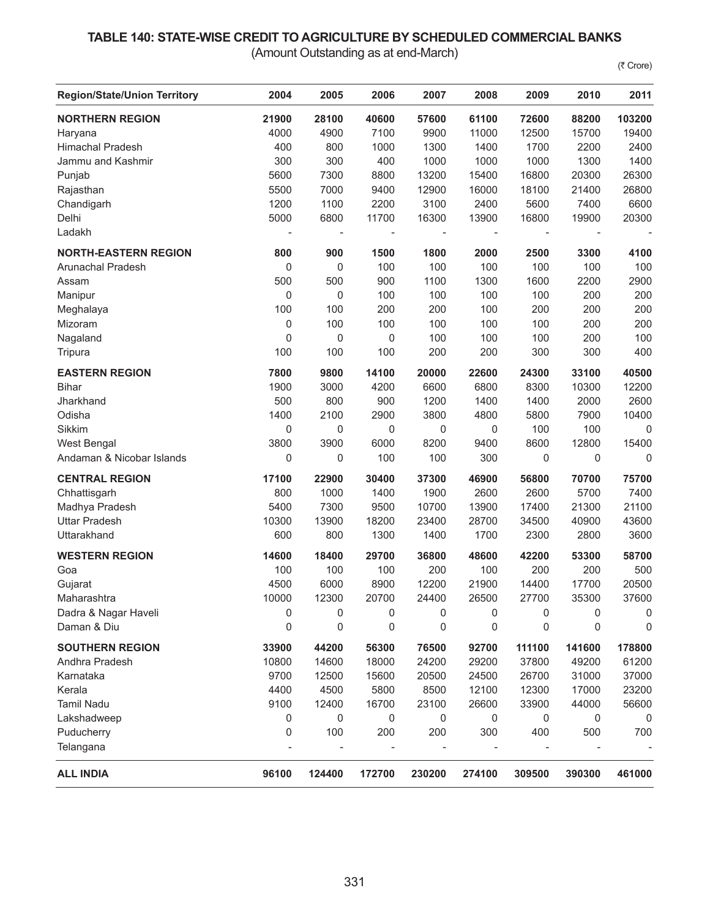## **TABLE 140: STATE-WISE CREDIT TO AGRICULTURE BY SCHEDULED COMMERCIAL BANKS**

(Amount Outstanding as at end-March)

(₹ Crore)

| <b>Region/State/Union Territory</b> | 2004  | 2005                     | 2006           | 2007                     | 2008                     | 2009           | 2010   | 2011   |
|-------------------------------------|-------|--------------------------|----------------|--------------------------|--------------------------|----------------|--------|--------|
| <b>NORTHERN REGION</b>              | 21900 | 28100                    | 40600          | 57600                    | 61100                    | 72600          | 88200  | 103200 |
| Haryana                             | 4000  | 4900                     | 7100           | 9900                     | 11000                    | 12500          | 15700  | 19400  |
| <b>Himachal Pradesh</b>             | 400   | 800                      | 1000           | 1300                     | 1400                     | 1700           | 2200   | 2400   |
| Jammu and Kashmir                   | 300   | 300                      | 400            | 1000                     | 1000                     | 1000           | 1300   | 1400   |
| Punjab                              | 5600  | 7300                     | 8800           | 13200                    | 15400                    | 16800          | 20300  | 26300  |
| Rajasthan                           | 5500  | 7000                     | 9400           | 12900                    | 16000                    | 18100          | 21400  | 26800  |
| Chandigarh                          | 1200  | 1100                     | 2200           | 3100                     | 2400                     | 5600           | 7400   | 6600   |
| Delhi                               | 5000  | 6800                     | 11700          | 16300                    | 13900                    | 16800          | 19900  | 20300  |
| Ladakh                              |       | $\overline{\phantom{a}}$ | $\overline{a}$ | $\overline{\phantom{a}}$ | $\overline{\phantom{a}}$ | $\blacksquare$ |        |        |
| <b>NORTH-EASTERN REGION</b>         | 800   | 900                      | 1500           | 1800                     | 2000                     | 2500           | 3300   | 4100   |
| Arunachal Pradesh                   | 0     | 0                        | 100            | 100                      | 100                      | 100            | 100    | 100    |
| Assam                               | 500   | 500                      | 900            | 1100                     | 1300                     | 1600           | 2200   | 2900   |
| Manipur                             | 0     | 0                        | 100            | 100                      | 100                      | 100            | 200    | 200    |
| Meghalaya                           | 100   | 100                      | 200            | 200                      | 100                      | 200            | 200    | 200    |
| Mizoram                             | 0     | 100                      | 100            | 100                      | 100                      | 100            | 200    | 200    |
| Nagaland                            | 0     | $\pmb{0}$                | $\mathbf 0$    | 100                      | 100                      | 100            | 200    | 100    |
| Tripura                             | 100   | 100                      | 100            | 200                      | 200                      | 300            | 300    | 400    |
| <b>EASTERN REGION</b>               | 7800  | 9800                     | 14100          | 20000                    | 22600                    | 24300          | 33100  | 40500  |
| <b>Bihar</b>                        | 1900  | 3000                     | 4200           | 6600                     | 6800                     | 8300           | 10300  | 12200  |
| Jharkhand                           | 500   | 800                      | 900            | 1200                     | 1400                     | 1400           | 2000   | 2600   |
| Odisha                              | 1400  | 2100                     | 2900           | 3800                     | 4800                     | 5800           | 7900   | 10400  |
| Sikkim                              | 0     | 0                        | 0              | 0                        | 0                        | 100            | 100    | 0      |
| West Bengal                         | 3800  | 3900                     | 6000           | 8200                     | 9400                     | 8600           | 12800  | 15400  |
| Andaman & Nicobar Islands           | 0     | 0                        | 100            | 100                      | 300                      | 0              | 0      | 0      |
| <b>CENTRAL REGION</b>               | 17100 | 22900                    | 30400          | 37300                    | 46900                    | 56800          | 70700  | 75700  |
| Chhattisgarh                        | 800   | 1000                     | 1400           | 1900                     | 2600                     | 2600           | 5700   | 7400   |
| Madhya Pradesh                      | 5400  | 7300                     | 9500           | 10700                    | 13900                    | 17400          | 21300  | 21100  |
| <b>Uttar Pradesh</b>                | 10300 | 13900                    | 18200          | 23400                    | 28700                    | 34500          | 40900  | 43600  |
| Uttarakhand                         | 600   | 800                      | 1300           | 1400                     | 1700                     | 2300           | 2800   | 3600   |
| <b>WESTERN REGION</b>               | 14600 | 18400                    | 29700          | 36800                    | 48600                    | 42200          | 53300  | 58700  |
| Goa                                 | 100   | 100                      | 100            | 200                      | 100                      | 200            | 200    | 500    |
| Gujarat                             | 4500  | 6000                     | 8900           | 12200                    | 21900                    | 14400          | 17700  | 20500  |
| Maharashtra                         | 10000 | 12300                    | 20700          | 24400                    | 26500                    | 27700          | 35300  | 37600  |
| Dadra & Nagar Haveli                | 0     | 0                        | 0              | 0                        | 0                        | 0              | 0      | 0      |
| Daman & Diu                         | 0     | 0                        | 0              | 0                        | 0                        | 0              | 0      | 0      |
| <b>SOUTHERN REGION</b>              | 33900 | 44200                    | 56300          | 76500                    | 92700                    | 111100         | 141600 | 178800 |
| Andhra Pradesh                      | 10800 | 14600                    | 18000          | 24200                    | 29200                    | 37800          | 49200  | 61200  |
| Karnataka                           | 9700  | 12500                    | 15600          | 20500                    | 24500                    | 26700          | 31000  | 37000  |
| Kerala                              | 4400  | 4500                     | 5800           | 8500                     | 12100                    | 12300          | 17000  | 23200  |
| <b>Tamil Nadu</b>                   | 9100  | 12400                    | 16700          | 23100                    | 26600                    | 33900          | 44000  | 56600  |
| Lakshadweep                         | 0     | 0                        | 0              | 0                        | 0                        | 0              | 0      | 0      |
| Puducherry                          | 0     | 100                      | 200            | 200                      | 300                      | 400            | 500    | 700    |
| Telangana                           |       |                          |                |                          |                          |                |        |        |
| <b>ALL INDIA</b>                    | 96100 | 124400                   | 172700         | 230200                   | 274100                   | 309500         | 390300 | 461000 |